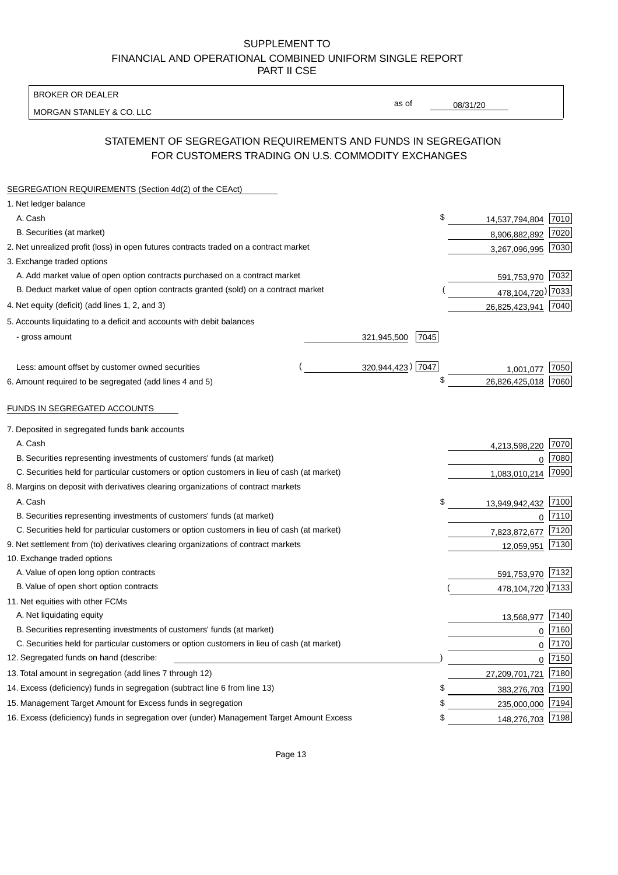BROKER OR DEALER

MORGAN STANLEY & CO. LLC

08/31/20

as of

# STATEMENT OF SEGREGATION REQUIREMENTS AND FUNDS IN SEGREGATION FOR CUSTOMERS TRADING ON U.S. COMMODITY EXCHANGES

| SEGREGATION REQUIREMENTS (Section 4d(2) of the CEAct)                                       |                     |                     |      |
|---------------------------------------------------------------------------------------------|---------------------|---------------------|------|
| 1. Net ledger balance                                                                       |                     |                     |      |
| A. Cash                                                                                     | \$                  | 14,537,794,804      | 7010 |
| B. Securities (at market)                                                                   |                     | 8,906,882,892       | 7020 |
| 2. Net unrealized profit (loss) in open futures contracts traded on a contract market       |                     | 3,267,096,995       | 7030 |
| 3. Exchange traded options                                                                  |                     |                     |      |
| A. Add market value of open option contracts purchased on a contract market                 |                     | 591,753,970         | 7032 |
| B. Deduct market value of open option contracts granted (sold) on a contract market         |                     | 478, 104, 720) 7033 |      |
| 4. Net equity (deficit) (add lines 1, 2, and 3)                                             |                     | 26,825,423,941      | 7040 |
| 5. Accounts liquidating to a deficit and accounts with debit balances                       |                     |                     |      |
| - gross amount                                                                              | 7045<br>321,945,500 |                     |      |
|                                                                                             |                     |                     |      |
| Less: amount offset by customer owned securities                                            | 320,944,423) 7047   | 1,001,077           | 7050 |
| 6. Amount required to be segregated (add lines 4 and 5)                                     | \$                  | 26,826,425,018      | 7060 |
| FUNDS IN SEGREGATED ACCOUNTS                                                                |                     |                     |      |
| 7. Deposited in segregated funds bank accounts                                              |                     |                     |      |
| A. Cash                                                                                     |                     | 4,213,598,220       | 7070 |
| B. Securities representing investments of customers' funds (at market)                      |                     | $\Omega$            | 7080 |
| C. Securities held for particular customers or option customers in lieu of cash (at market) |                     | 1,083,010,214       | 7090 |
| 8. Margins on deposit with derivatives clearing organizations of contract markets           |                     |                     |      |
| A. Cash                                                                                     | \$                  | 13,949,942,432      | 7100 |
| B. Securities representing investments of customers' funds (at market)                      |                     | $\mathbf{0}$        | 7110 |
| C. Securities held for particular customers or option customers in lieu of cash (at market) |                     | 7,823,872,677       | 7120 |
| 9. Net settlement from (to) derivatives clearing organizations of contract markets          |                     | 12,059,951          | 7130 |
| 10. Exchange traded options                                                                 |                     |                     |      |
| A. Value of open long option contracts                                                      |                     | 591,753,970         | 7132 |
| B. Value of open short option contracts                                                     |                     | 478,104,720 )7133   |      |
| 11. Net equities with other FCMs                                                            |                     |                     |      |
| A. Net liquidating equity                                                                   |                     | 13,568,977          | 7140 |
| B. Securities representing investments of customers' funds (at market)                      |                     | $\Omega$            | 7160 |
| C. Securities held for particular customers or option customers in lieu of cash (at market) |                     | $\mathbf 0$         | 7170 |
| 12. Segregated funds on hand (describe:                                                     |                     | $\mathbf 0$         | 7150 |
| 13. Total amount in segregation (add lines 7 through 12)                                    |                     | 27,209,701,721      | 7180 |
| 14. Excess (deficiency) funds in segregation (subtract line 6 from line 13)                 | \$                  | 383,276,703         | 7190 |
| 15. Management Target Amount for Excess funds in segregation                                | \$                  | 235,000,000         | 7194 |
| 16. Excess (deficiency) funds in segregation over (under) Management Target Amount Excess   | \$                  | 148,276,703         | 7198 |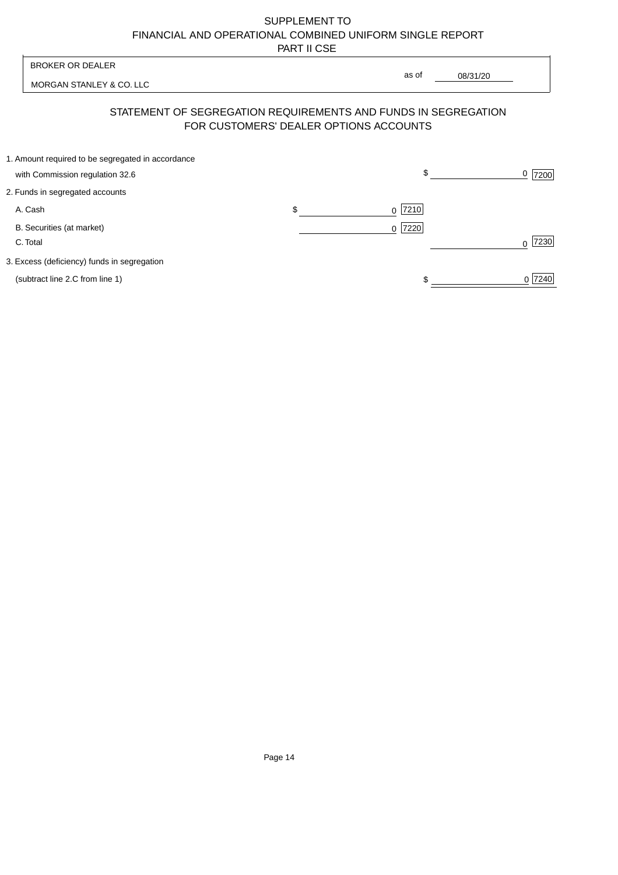| <b>BROKER OR DEALER</b>                                                                                  |                | as of |          |           |
|----------------------------------------------------------------------------------------------------------|----------------|-------|----------|-----------|
| MORGAN STANLEY & CO. LLC                                                                                 |                |       | 08/31/20 |           |
| STATEMENT OF SEGREGATION REQUIREMENTS AND FUNDS IN SEGREGATION<br>FOR CUSTOMERS' DEALER OPTIONS ACCOUNTS |                |       |          |           |
| 1. Amount required to be segregated in accordance<br>with Commission regulation 32.6                     |                | \$    |          | 0<br>7200 |
| 2. Funds in segregated accounts                                                                          |                |       |          |           |
| A. Cash                                                                                                  | \$<br>$\Omega$ | 7210  |          |           |
| B. Securities (at market)<br>C. Total                                                                    | $\Omega$       | 7220  |          | 7230<br>U |
| 3. Excess (deficiency) funds in segregation                                                              |                |       |          |           |
| (subtract line 2.C from line 1)                                                                          |                |       |          | 0 7240    |
|                                                                                                          |                |       |          |           |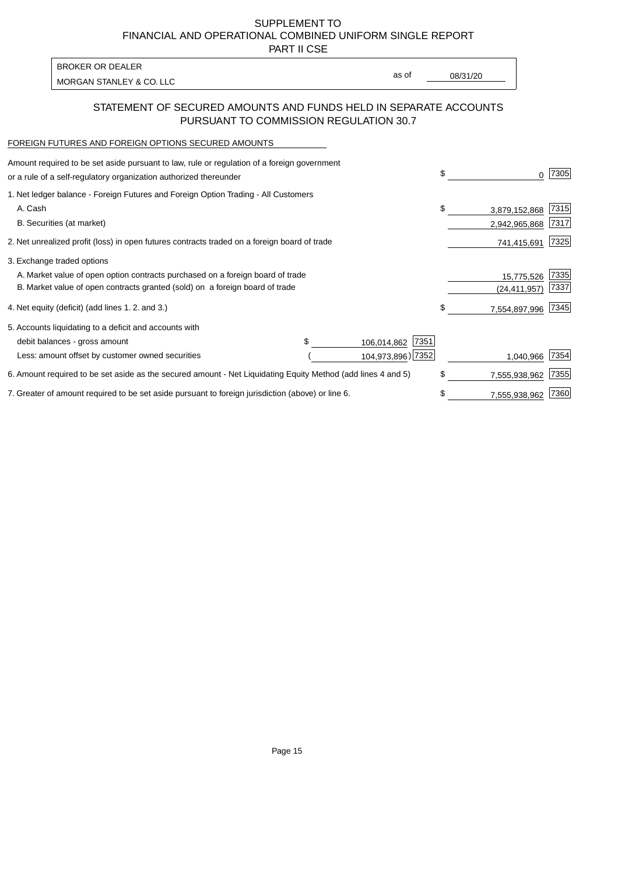PART II CSE

| <b>BROKER OR DEALER</b>  |       |          |
|--------------------------|-------|----------|
| MORGAN STANLEY & CO. LLC | as of | 08/31/20 |
|                          |       |          |

### STATEMENT OF SECURED AMOUNTS AND FUNDS HELD IN SEPARATE ACCOUNTS PURSUANT TO COMMISSION REGULATION 30.7

#### FOREIGN FUTURES AND FOREIGN OPTIONS SECURED AMOUNTS

| Amount required to be set aside pursuant to law, rule or regulation of a foreign government<br>or a rule of a self-regulatory organization authorized thereunder |  |                     | \$                  | 7305 |
|------------------------------------------------------------------------------------------------------------------------------------------------------------------|--|---------------------|---------------------|------|
| 1. Net ledger balance - Foreign Futures and Foreign Option Trading - All Customers                                                                               |  |                     |                     |      |
| A. Cash                                                                                                                                                          |  |                     | \$<br>3,879,152,868 | 7315 |
| B. Securities (at market)                                                                                                                                        |  |                     | 2,942,965,868       | 7317 |
| 2. Net unrealized profit (loss) in open futures contracts traded on a foreign board of trade                                                                     |  |                     | 741,415,691         | 7325 |
| 3. Exchange traded options                                                                                                                                       |  |                     |                     |      |
| A. Market value of open option contracts purchased on a foreign board of trade                                                                                   |  |                     | 15,775,526          | 7335 |
| B. Market value of open contracts granted (sold) on a foreign board of trade                                                                                     |  |                     | (24,411,957)        | 7337 |
| 4. Net equity (deficit) (add lines 1.2. and 3.)                                                                                                                  |  |                     | \$<br>7,554,897,996 | 7345 |
| 5. Accounts liquidating to a deficit and accounts with                                                                                                           |  |                     |                     |      |
| debit balances - gross amount                                                                                                                                    |  | 7351<br>106,014,862 |                     |      |
| Less: amount offset by customer owned securities                                                                                                                 |  | 104,973,896) 7352   | 1,040,966           | 7354 |
| 6. Amount required to be set aside as the secured amount - Net Liquidating Equity Method (add lines 4 and 5)                                                     |  |                     | \$<br>7,555,938,962 | 7355 |
| 7. Greater of amount required to be set aside pursuant to foreign jurisdiction (above) or line 6.                                                                |  |                     | \$<br>7,555,938,962 | 7360 |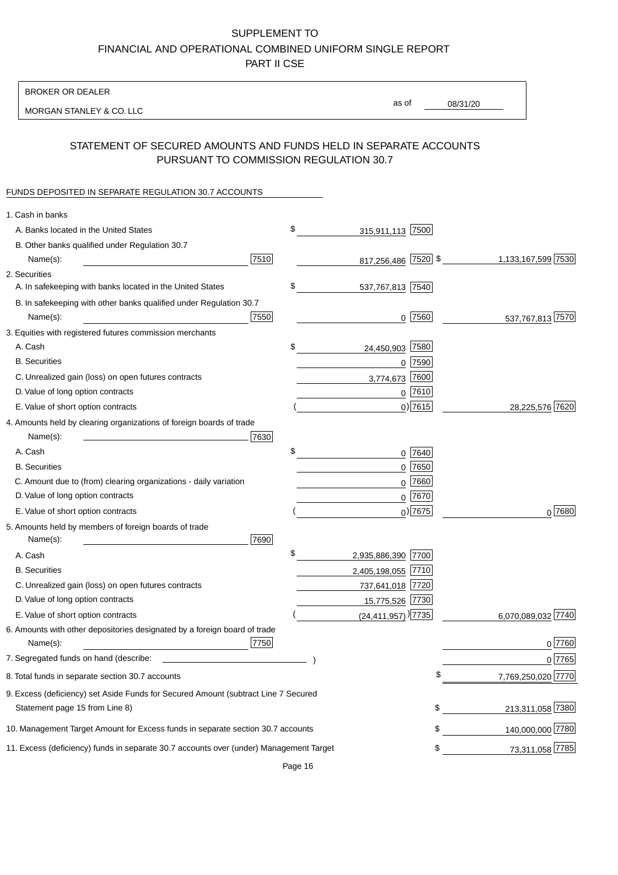BROKER OR DEALER

MORGAN STANLEY & CO. LLC

08/31/20 as of

# STATEMENT OF SECURED AMOUNTS AND FUNDS HELD IN SEPARATE ACCOUNTS PURSUANT TO COMMISSION REGULATION 30.7

### FUNDS DEPOSITED IN SEPARATE REGULATION 30.7 ACCOUNTS

| 1. Cash in banks                                                                       |                                  |                          |
|----------------------------------------------------------------------------------------|----------------------------------|--------------------------|
| A. Banks located in the United States                                                  | \$<br>315,911,113 7500           |                          |
| B. Other banks qualified under Regulation 30.7                                         |                                  |                          |
| 7510<br>Name(s):                                                                       | 817,256,486 7520 \$              | 1,133,167,599 7530       |
| 2. Securities                                                                          |                                  |                          |
| A. In safekeeping with banks located in the United States                              | \$<br>537,767,813 7540           |                          |
| B. In safekeeping with other banks qualified under Regulation 30.7                     |                                  |                          |
| 7550<br>Name(s):                                                                       | $0$  7560                        | 537,767,813 7570         |
| 3. Equities with registered futures commission merchants                               |                                  |                          |
| A. Cash                                                                                | \$<br>24,450,903 7580            |                          |
| <b>B.</b> Securities                                                                   | $0$ 7590                         |                          |
| C. Unrealized gain (loss) on open futures contracts                                    | 7600<br>3,774,673                |                          |
| D. Value of long option contracts                                                      | $0$ 7610                         |                          |
| E. Value of short option contracts                                                     | $0)$ 7615                        | 28,225,576 7620          |
| 4. Amounts held by clearing organizations of foreign boards of trade                   |                                  |                          |
| 7630<br>Name(s):                                                                       |                                  |                          |
| A. Cash                                                                                | \$<br>$0$ 7640                   |                          |
| <b>B.</b> Securities                                                                   | 7650<br>0                        |                          |
| C. Amount due to (from) clearing organizations - daily variation                       | 7660<br>0                        |                          |
| D. Value of long option contracts                                                      | 0 7670                           |                          |
| E. Value of short option contracts                                                     | $0$ ) 7675                       | $0^{7680}$               |
| 5. Amounts held by members of foreign boards of trade                                  |                                  |                          |
| Name(s):<br>7690                                                                       |                                  |                          |
| A. Cash                                                                                | \$<br>2,935,886,390 7700         |                          |
| <b>B.</b> Securities                                                                   | 2,405,198,055 7710               |                          |
| C. Unrealized gain (loss) on open futures contracts                                    | 737,641,018 7720                 |                          |
| D. Value of long option contracts                                                      | 15,775,526 7730                  |                          |
| E. Value of short option contracts                                                     | $(24,411,957)$ <sup>[7735]</sup> | 6,070,089,032 7740       |
| 6. Amounts with other depositories designated by a foreign board of trade              |                                  |                          |
| 7750<br>Name(s):                                                                       |                                  | 0 7760                   |
| 7. Segregated funds on hand (describe:                                                 |                                  | 0 7765                   |
| 8. Total funds in separate section 30.7 accounts                                       |                                  | \$<br>7,769,250,020 7770 |
| 9. Excess (deficiency) set Aside Funds for Secured Amount (subtract Line 7 Secured     |                                  |                          |
| Statement page 15 from Line 8)                                                         |                                  | 213,311,058 7380<br>\$   |
| 10. Management Target Amount for Excess funds in separate section 30.7 accounts        |                                  | 140,000,000 7780<br>\$   |
| 11. Excess (deficiency) funds in separate 30.7 accounts over (under) Management Target |                                  | 73,311,058 7785<br>\$    |
|                                                                                        |                                  |                          |

Page 16